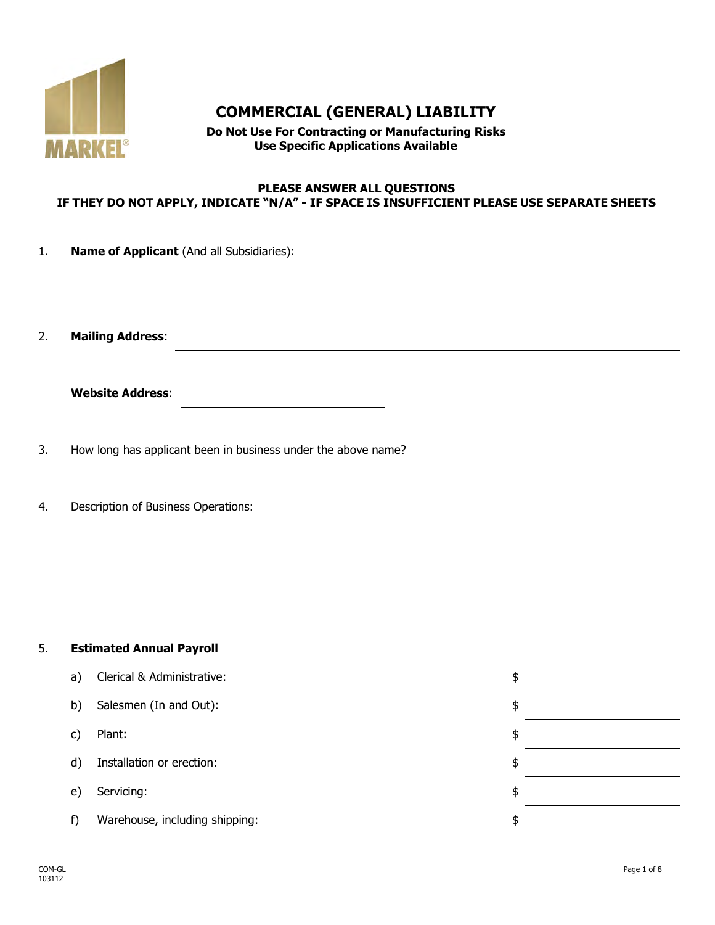

# **COMMERCIAL (GENERAL) LIABILITY**

**Do Not Use For Contracting or Manufacturing Risks Use Specific Applications Available**

#### **PLEASE ANSWER ALL QUESTIONS IF THEY DO NOT APPLY, INDICATE "N/A" - IF SPACE IS INSUFFICIENT PLEASE USE SEPARATE SHEETS**

| 1. |  |  | <b>Name of Applicant</b> (And all Subsidiaries): |  |
|----|--|--|--------------------------------------------------|--|
|    |  |  |                                                  |  |

2. **Mailing Address**:

| <b>Website Address:</b> |
|-------------------------|
|-------------------------|

- 3. How long has applicant been in business under the above name?
- 4. Description of Business Operations:

### 5. **Estimated Annual Payroll**

| a) | Clerical & Administrative:     | \$ |
|----|--------------------------------|----|
| b) | Salesmen (In and Out):         | \$ |
| C) | Plant:                         | \$ |
| d) | Installation or erection:      | \$ |
| e) | Servicing:                     | \$ |
|    | Warehouse, including shipping: | \$ |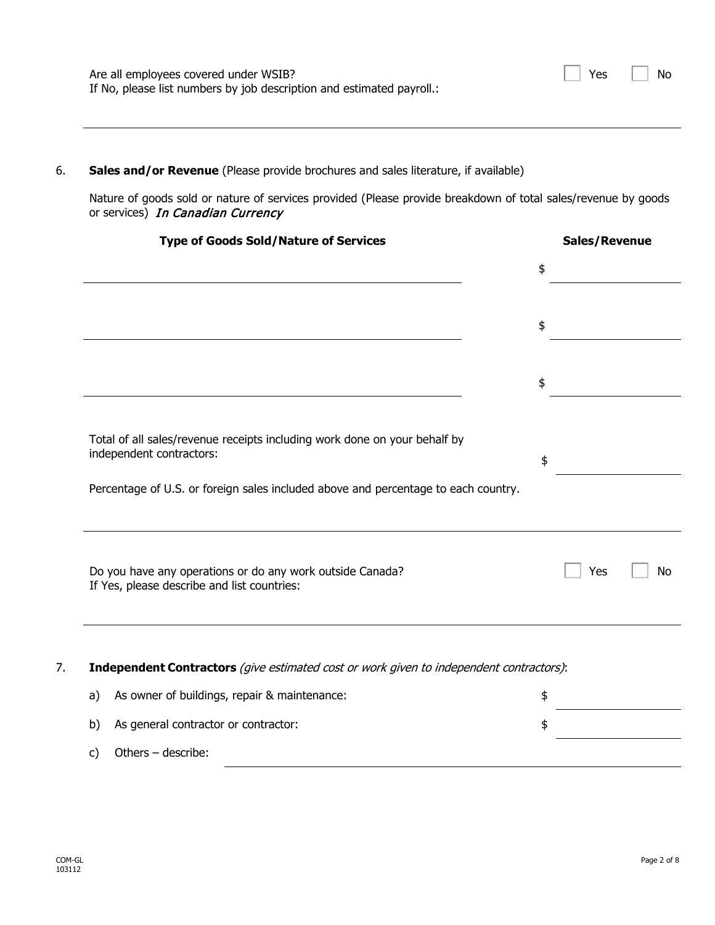| Are all employees covered under WSIB?                                 | $\Box$ Yes $\Box$ No |
|-----------------------------------------------------------------------|----------------------|
| If No, please list numbers by job description and estimated payroll.: |                      |

## 6. **Sales and/or Revenue** (Please provide brochures and sales literature, if available)

Nature of goods sold or nature of services provided (Please provide breakdown of total sales/revenue by goods or services) In Canadian Currency

| <b>Type of Goods Sold/Nature of Services</b>                                                             | Sales/Revenue |           |
|----------------------------------------------------------------------------------------------------------|---------------|-----------|
|                                                                                                          | \$            |           |
|                                                                                                          | \$            |           |
|                                                                                                          | \$            |           |
| Total of all sales/revenue receipts including work done on your behalf by<br>independent contractors:    | \$            |           |
| Percentage of U.S. or foreign sales included above and percentage to each country.                       |               |           |
| Do you have any operations or do any work outside Canada?<br>If Yes, please describe and list countries: | Yes           | <b>No</b> |
| Independent Contractors (give estimated cost or work given to independent contractors):                  |               |           |
| As owner of buildings, repair & maintenance:<br>a)                                                       | \$            |           |
| As general contractor or contractor:<br>b)                                                               | \$            |           |
| Others - describe:<br>c)                                                                                 |               |           |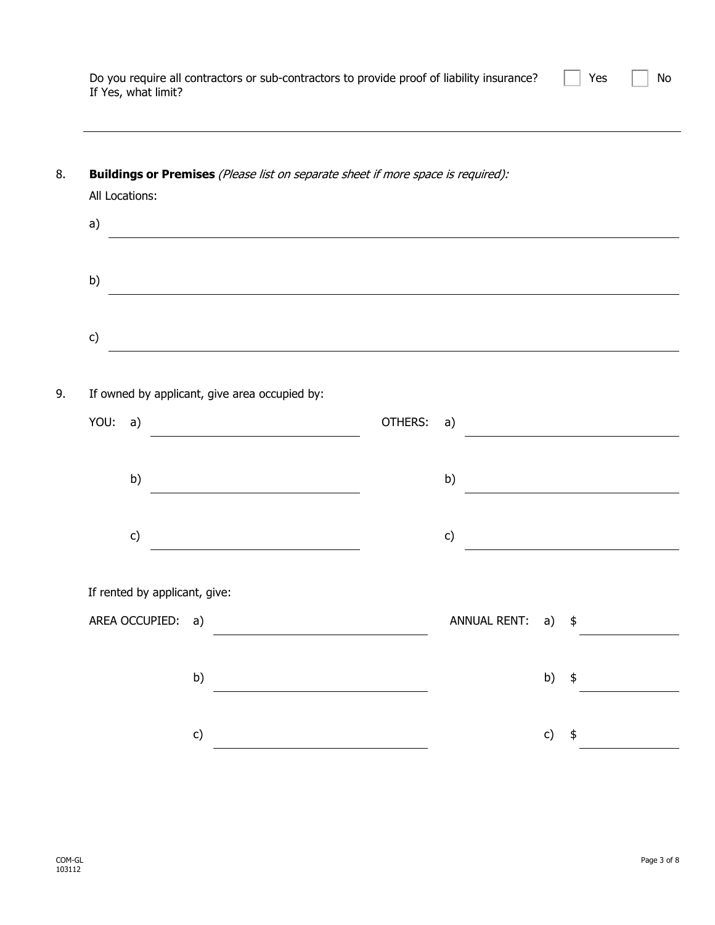| Do you require all contractors or sub-contractors to provide proof of liability insurance? $\Box$ Yes $\Box$ No |  |
|-----------------------------------------------------------------------------------------------------------------|--|
| If Yes, what limit?                                                                                             |  |

| All Locations:                                |         |                     |    |    |
|-----------------------------------------------|---------|---------------------|----|----|
| a)                                            |         |                     |    |    |
|                                               |         |                     |    |    |
| b)                                            |         |                     |    |    |
|                                               |         |                     |    |    |
| c)                                            |         |                     |    |    |
|                                               |         |                     |    |    |
| If owned by applicant, give area occupied by: |         |                     |    |    |
| YOU:<br>a)                                    | OTHERS: | a)                  |    |    |
|                                               |         |                     |    |    |
| b)                                            |         | b)                  |    |    |
|                                               |         |                     |    |    |
| c)                                            |         | c)                  |    |    |
|                                               |         |                     |    |    |
| If rented by applicant, give:                 |         |                     |    |    |
| AREA OCCUPIED: a)                             |         | <b>ANNUAL RENT:</b> | a) | \$ |
|                                               |         |                     |    |    |
|                                               |         |                     |    |    |

COM-GL<br>103112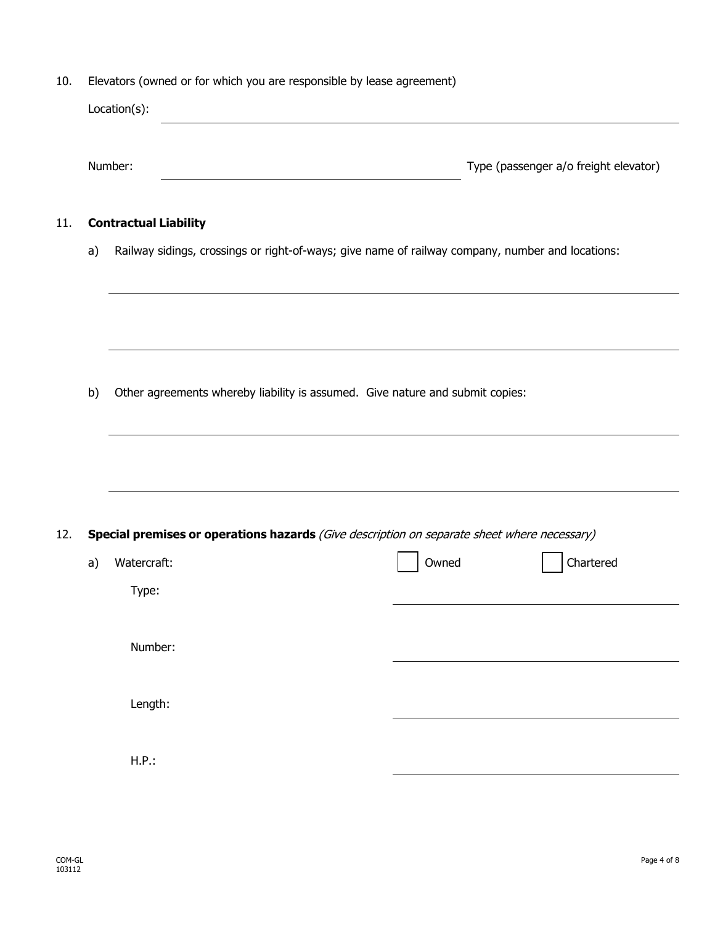10. Elevators (owned or for which you are responsible by lease agreement)

|    | Location(s):<br><u> 1980 - Johann Barn, mars ann an t-Amhain Aonaich an t-Aonaich an t-Aonaich ann an t-Aonaich ann an t-Aonaich</u> |                                                                                                  |
|----|--------------------------------------------------------------------------------------------------------------------------------------|--------------------------------------------------------------------------------------------------|
|    | Number:                                                                                                                              | Type (passenger a/o freight elevator)                                                            |
|    | <b>Contractual Liability</b>                                                                                                         |                                                                                                  |
| a) |                                                                                                                                      | Railway sidings, crossings or right-of-ways; give name of railway company, number and locations: |
|    |                                                                                                                                      |                                                                                                  |
|    |                                                                                                                                      |                                                                                                  |
| b) | Other agreements whereby liability is assumed. Give nature and submit copies:                                                        |                                                                                                  |
|    |                                                                                                                                      |                                                                                                  |
|    |                                                                                                                                      |                                                                                                  |
|    |                                                                                                                                      |                                                                                                  |
|    |                                                                                                                                      | Special premises or operations hazards (Give description on separate sheet where necessary)      |
| a) | Watercraft:                                                                                                                          | Chartered<br>Owned                                                                               |
|    | Type:                                                                                                                                |                                                                                                  |
|    | Number:                                                                                                                              |                                                                                                  |
|    |                                                                                                                                      |                                                                                                  |
|    | Length:                                                                                                                              |                                                                                                  |

11. **Contractual Liability**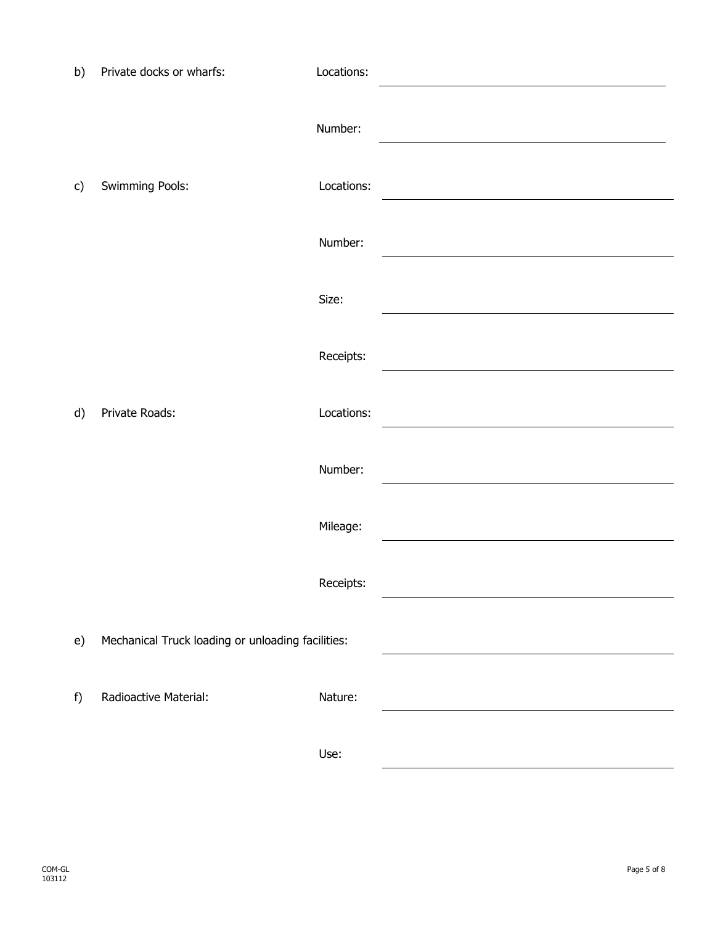| b) | Private docks or wharfs:                          | Locations: |  |
|----|---------------------------------------------------|------------|--|
|    |                                                   | Number:    |  |
| c) | Swimming Pools:                                   | Locations: |  |
|    |                                                   | Number:    |  |
|    |                                                   | Size:      |  |
|    |                                                   | Receipts:  |  |
| d) | Private Roads:                                    | Locations: |  |
|    |                                                   | Number:    |  |
|    |                                                   | Mileage:   |  |
|    |                                                   | Receipts:  |  |
| e) | Mechanical Truck loading or unloading facilities: |            |  |
| f) | Radioactive Material:                             | Nature:    |  |
|    |                                                   | Use:       |  |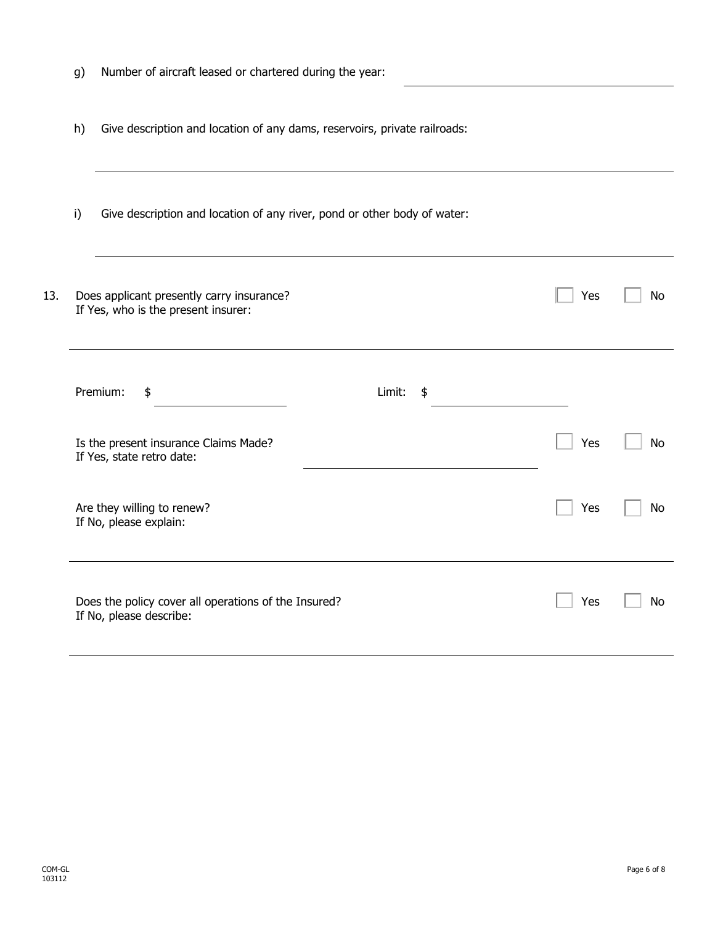|     | g) | Number of aircraft leased or chartered during the year:                          |              |     |           |
|-----|----|----------------------------------------------------------------------------------|--------------|-----|-----------|
|     | h) | Give description and location of any dams, reservoirs, private railroads:        |              |     |           |
|     | i) | Give description and location of any river, pond or other body of water:         |              |     |           |
| 13. |    | Does applicant presently carry insurance?<br>If Yes, who is the present insurer: |              | Yes | <b>No</b> |
|     |    | Premium:<br>\$                                                                   | Limit:<br>\$ |     |           |
|     |    | Is the present insurance Claims Made?<br>If Yes, state retro date:               |              | Yes | <b>No</b> |
|     |    | Are they willing to renew?<br>If No, please explain:                             |              | Yes | <b>No</b> |
|     |    |                                                                                  |              |     |           |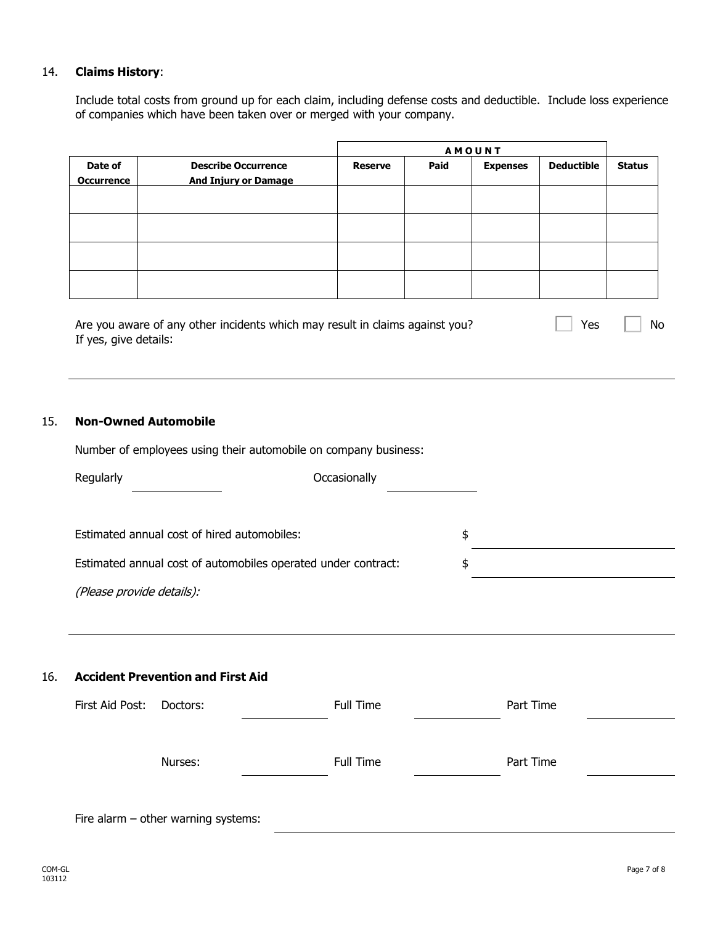#### 14. **Claims History**:

Include total costs from ground up for each claim, including defense costs and deductible. Include loss experience of companies which have been taken over or merged with your company.

| <b>Describe Occurrence</b><br><b>And Injury or Damage</b> | <b>Reserve</b> | Paid | <b>Expenses</b> | <b>Deductible</b> | <b>Status</b> |
|-----------------------------------------------------------|----------------|------|-----------------|-------------------|---------------|
|                                                           |                |      |                 |                   |               |
|                                                           |                |      |                 |                   |               |
|                                                           |                |      |                 |                   |               |
|                                                           |                |      |                 |                   |               |
|                                                           |                |      |                 | <b>AMOUNT</b>     |               |

| Are you aware of any other incidents which may result in claims against you? | $\Box$ Yes $\Box$ No |  |
|------------------------------------------------------------------------------|----------------------|--|
| If yes, give details:                                                        |                      |  |

#### 15. **Non-Owned Automobile**

Number of employees using their automobile on company business:

| Regularly                                                     | Occasionally |    |
|---------------------------------------------------------------|--------------|----|
|                                                               |              |    |
| Estimated annual cost of hired automobiles:                   |              | \$ |
| Estimated annual cost of automobiles operated under contract: |              | S  |
| (Please provide details):                                     |              |    |

#### 16. **Accident Prevention and First Aid**

| First Aid Post: | Doctors:                            | Full Time | Part Time |
|-----------------|-------------------------------------|-----------|-----------|
|                 |                                     |           |           |
|                 | Nurses:                             | Full Time | Part Time |
|                 |                                     |           |           |
|                 | Fire alarm - other warning systems: |           |           |